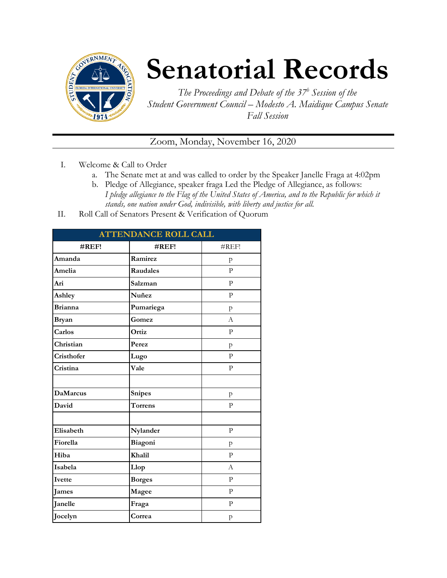

## **Senatorial Records**

*The Proceedings and Debate of the 37 <sup>h</sup> Session of the Student Government Council – Modesto A. Maidique Campus Senate Fall Session*

Zoom, Monday, November 16, 2020

- I. Welcome & Call to Order
	- a. The Senate met at and was called to order by the Speaker Janelle Fraga at 4:02pm
	- b. Pledge of Allegiance, speaker fraga Led the Pledge of Allegiance, as follows: *I pledge allegiance to the Flag of the United States of America, and to the Republic for which it stands, one nation under God, indivisible, with liberty and justice for all.*
- II. Roll Call of Senators Present & Verification of Quorum

| <b>ATTENDANCE ROLL CALL</b> |                |                |  |  |
|-----------------------------|----------------|----------------|--|--|
| #REF!                       | #REF!          | #REF!          |  |  |
| Amanda                      | Ramirez        | p              |  |  |
| Amelia                      | Raudales       | $\mathbf{P}$   |  |  |
| Ari                         | Salzman        | $\mathbf{P}$   |  |  |
| Ashley                      | Nuñez          | $\mathbf{P}$   |  |  |
| <b>Brianna</b>              | Pumariega      | $\mathsf{p}$   |  |  |
| <b>Bryan</b>                | Gomez          | $\overline{A}$ |  |  |
| Carlos                      | Ortiz          | P              |  |  |
| Christian                   | Perez          | p              |  |  |
| Cristhofer                  | Lugo           | P              |  |  |
| Cristina                    | Vale           | P              |  |  |
|                             |                |                |  |  |
| <b>DaMarcus</b>             | <b>Snipes</b>  | p              |  |  |
| David                       | <b>Torrens</b> | $\overline{P}$ |  |  |
|                             |                |                |  |  |
| Elisabeth                   | Nylander       | $\mathbf{P}$   |  |  |
| Fiorella                    | Biagoni        | p              |  |  |
| Hiba                        | Khalil         | $\mathbf{P}$   |  |  |
| Isabela                     | Llop           | A              |  |  |
| Ivette                      | <b>Borges</b>  | $\mathbf{P}$   |  |  |
| James                       | Magee          | $\mathbf{P}$   |  |  |
| Janelle                     | Fraga          | $\mathbf{P}$   |  |  |
| Jocelyn                     | Correa         | p              |  |  |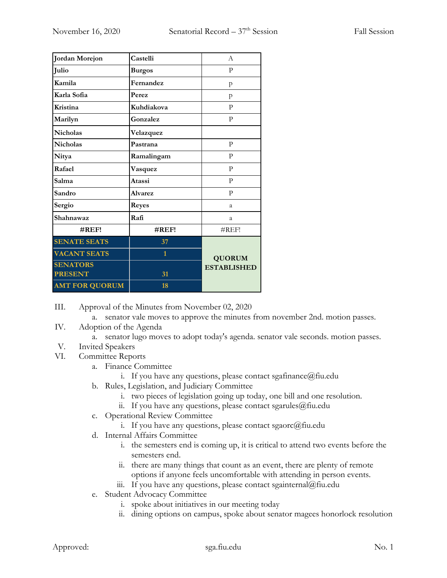| Jordan Morejon        | Castelli       | A                  |  |
|-----------------------|----------------|--------------------|--|
| Julio                 | <b>Burgos</b>  | P                  |  |
| Kamila                | Fernandez      | p                  |  |
| Karla Sofia           | Perez          | p                  |  |
| <b>Kristina</b>       | Kuhdiakova     | $\mathbf{P}$       |  |
| Marilyn               | Gonzalez       | $\mathbf{P}$       |  |
| <b>Nicholas</b>       | Velazquez      |                    |  |
| <b>Nicholas</b>       | Pastrana       | $\mathbf{P}$       |  |
| Nitya                 | Ramalingam     | P                  |  |
| Rafael                | Vasquez        | $\mathbf{P}$       |  |
| Salma                 | Atassi         | P                  |  |
| Sandro                | <b>Alvarez</b> | $\mathbf{P}$       |  |
| Sergio                | <b>Reyes</b>   | a                  |  |
| Shahnawaz             | Rafi           | a                  |  |
| $\#REF!$              | $\#REF!$       | #REF!              |  |
| <b>SENATE SEATS</b>   | 37             |                    |  |
| <b>VACANT SEATS</b>   | $\mathbf{1}$   | <b>QUORUM</b>      |  |
| <b>SENATORS</b>       |                | <b>ESTABLISHED</b> |  |
| <b>PRESENT</b>        | 31             |                    |  |
| <b>AMT FOR QUORUM</b> | 18             |                    |  |

III. Approval of the Minutes from November 02, 2020

a. senator vale moves to approve the minutes from november 2nd. motion passes.

- IV. Adoption of the Agenda
	- a. senator lugo moves to adopt today's agenda. senator vale seconds. motion passes.
- V. Invited Speakers
- VI. Committee Reports
	- a. Finance Committee
		- i. If you have any questions, please contact sgafinance  $@$  fiu.edu
	- b. Rules, Legislation, and Judiciary Committee
		- i. two pieces of legislation going up today, one bill and one resolution.
		- ii. If you have any questions, please contact sgarules@fiu.edu
	- c. Operational Review Committee
		- i. If you have any questions, please contact sgaorc $@$ fiu.edu
	- d. Internal Affairs Committee
		- i. the semesters end is coming up, it is critical to attend two events before the semesters end.
		- ii. there are many things that count as an event, there are plenty of remote options if anyone feels uncomfortable with attending in person events.
		- iii. If you have any questions, please contact sgainternal@fiu.edu
	- e. Student Advocacy Committee
		- i. spoke about initiatives in our meeting today
		- ii. dining options on campus, spoke about senator magees honorlock resolution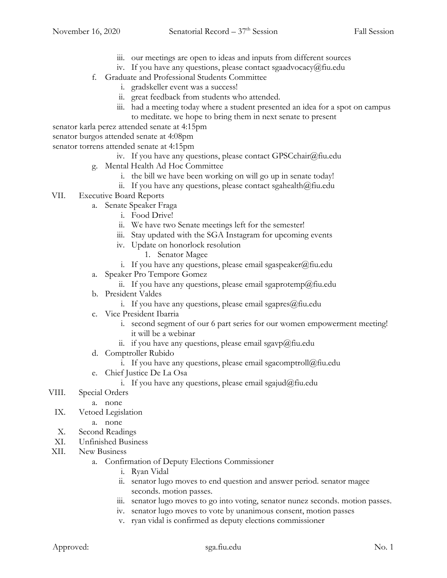- iii. our meetings are open to ideas and inputs from different sources
- iv. If you have any questions, please contact sgaadvocacy@fiu.edu
- f. Graduate and Professional Students Committee
	- i. gradskeller event was a success!
	- ii. great feedback from students who attended.
	- iii. had a meeting today where a student presented an idea for a spot on campus to meditate. we hope to bring them in next senate to present

senator karla perez attended senate at 4:15pm

senator burgos attended senate at 4:08pm

senator torrens attended senate at 4:15pm

- iv. If you have any questions, please contact GPSCchair@fiu.edu
- g. Mental Health Ad Hoc Committee
	- i. the bill we have been working on will go up in senate today!
	- ii. If you have any questions, please contact sgahealth $@$ fiu.edu
- VII. Executive Board Reports
	- a. Senate Speaker Fraga
		- i. Food Drive!
		- ii. We have two Senate meetings left for the semester!
		- iii. Stay updated with the SGA Instagram for upcoming events
		- iv. Update on honorlock resolution
			- 1. Senator Magee
		- i. If you have any questions, please email sgaspeaker@fiu.edu
	- a. Speaker Pro Tempore Gomez
		- ii. If you have any questions, please email sgaprotemp@fiu.edu
	- b. President Valdes
		- i. If you have any questions, please email sgapres $@$ fiu.edu
	- c. Vice President Ibarria
		- i. second segment of our 6 part series for our women empowerment meeting! it will be a webinar
		- ii. if you have any questions, please email sgavp $@$ fiu.edu
	- d. Comptroller Rubido
		- i. If you have any questions, please email sgacomptroll@fiu.edu
	- e. Chief Justice De La Osa
		- i. If you have any questions, please email sgajud@fiu.edu

## VIII. Special Orders

- a. none
- IX. Vetoed Legislation
	- a. none
- X. Second Readings
- XI. Unfinished Business
- XII. New Business
	- a. Confirmation of Deputy Elections Commissioner
		- i. Ryan Vidal
		- ii. senator lugo moves to end question and answer period. senator magee seconds. motion passes.
		- iii. senator lugo moves to go into voting, senator nunez seconds. motion passes.
		- iv. senator lugo moves to vote by unanimous consent, motion passes
		- v. ryan vidal is confirmed as deputy elections commissioner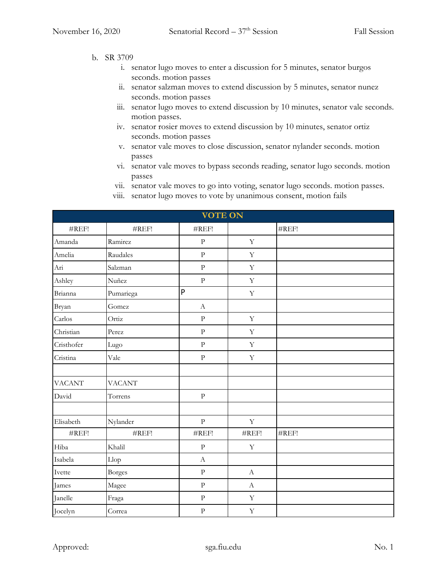- b. SR 3709
	- i. senator lugo moves to enter a discussion for 5 minutes, senator burgos seconds. motion passes
	- ii. senator salzman moves to extend discussion by 5 minutes, senator nunez seconds. motion passes
	- iii. senator lugo moves to extend discussion by 10 minutes, senator vale seconds. motion passes.
	- iv. senator rosier moves to extend discussion by 10 minutes, senator ortiz seconds. motion passes
	- v. senator vale moves to close discussion, senator nylander seconds. motion passes
	- vi. senator vale moves to bypass seconds reading, senator lugo seconds. motion passes
	- vii. senator vale moves to go into voting, senator lugo seconds. motion passes.
	- viii. senator lugo moves to vote by unanimous consent, motion fails

| <b>VOTE ON</b> |               |                |              |                   |  |  |
|----------------|---------------|----------------|--------------|-------------------|--|--|
| #REF!          | #REF!         | #REF!          |              | #REF!             |  |  |
| Amanda         | Ramirez       | $\mathbf{P}$   | $\mathbf Y$  |                   |  |  |
| Amelia         | Raudales      | $\overline{P}$ | $\mathbf Y$  |                   |  |  |
| Ari            | Salzman       | $\mathbf{P}$   | $\mathbf Y$  |                   |  |  |
| Ashley         | Nuñez         | $\rm{P}$       | $\mathbf Y$  |                   |  |  |
| Brianna        | Pumariega     | P              | $\mathbf Y$  |                   |  |  |
| Bryan          | Gomez         | $\mathbf{A}$   |              |                   |  |  |
| Carlos         | Ortiz         | $\rm{P}$       | $\mathbf Y$  |                   |  |  |
| Christian      | Perez         | $\rm{P}$       | $\mathbf Y$  |                   |  |  |
| Cristhofer     | Lugo          | $\rm{P}$       | $\mathbf Y$  |                   |  |  |
| Cristina       | Vale          | $\rm{P}$       | $\mathbf Y$  |                   |  |  |
|                |               |                |              |                   |  |  |
| <b>VACANT</b>  | <b>VACANT</b> |                |              |                   |  |  |
| David          | Torrens       | $\rm{P}$       |              |                   |  |  |
|                |               |                |              |                   |  |  |
| Elisabeth      | Nylander      | $\overline{P}$ | $\mathbf Y$  |                   |  |  |
| #REF!          | #REF!         | #REF!          | #REF!        | $\#\mathrm{REF}!$ |  |  |
| Hiba           | Khalil        | ${\bf P}$      | $\mathbf Y$  |                   |  |  |
| Isabela        | Llop          | $\mathbf{A}$   |              |                   |  |  |
| Ivette         | <b>Borges</b> | $\rm P$        | $\mathbf{A}$ |                   |  |  |
| James          | Magee         | $\rm{P}$       | $\mathbf{A}$ |                   |  |  |
| Janelle        | Fraga         | $\rm P$        | $\mathbf Y$  |                   |  |  |
| Jocelyn        | Correa        | $\rm{P}$       | $\mathbf Y$  |                   |  |  |